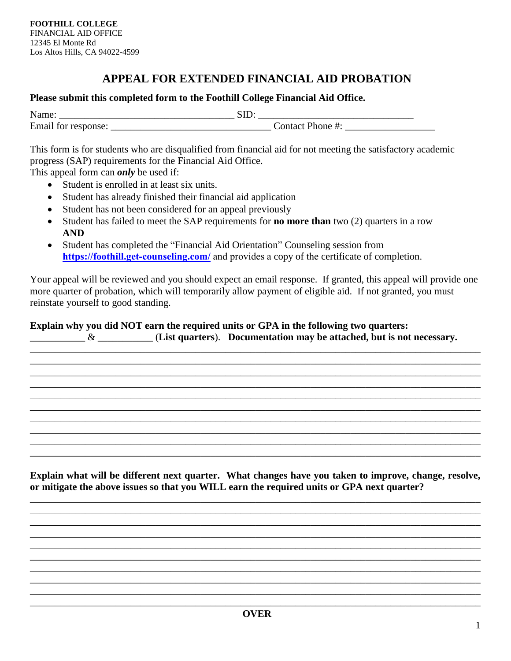## **APPEAL FOR EXTENDED FINANCIAL AID PROBATION**

## **Please submit this completed form to the Foothill College Financial Aid Office.**

| .<br><b>Name</b> | ~ |
|------------------|---|
| Email<br>.<br>.  |   |

This form is for students who are disqualified from financial aid for not meeting the satisfactory academic progress (SAP) requirements for the Financial Aid Office.

This appeal form can *only* be used if:

- Student is enrolled in at least six units.
- Student has already finished their financial aid application
- Student has not been considered for an appeal previously
- Student has failed to meet the SAP requirements for **no more than** two (2) quarters in a row **AND**
- Student has completed the "Financial Aid Orientation" Counseling session from **[https://foothill.get-counseling.com/](https://foothill.get-counseling.com)** and provides a copy of the certificate of completion.

Your appeal will be reviewed and you should expect an email response. If granted, this appeal will provide one more quarter of probation, which will temporarily allow payment of eligible aid. If not granted, you must reinstate yourself to good standing.

## **Explain why you did NOT earn the required units or GPA in the following two quarters:**

\_\_\_\_\_\_\_\_\_\_\_ & \_\_\_\_\_\_\_\_\_\_\_ (**List quarters**). **Documentation may be attached, but is not necessary.** 

\_\_\_\_\_\_\_\_\_\_\_\_\_\_\_\_\_\_\_\_\_\_\_\_\_\_\_\_\_\_\_\_\_\_\_\_\_\_\_\_\_\_\_\_\_\_\_\_\_\_\_\_\_\_\_\_\_\_\_\_\_\_\_\_\_\_\_\_\_\_\_\_\_\_\_\_\_\_\_\_\_\_\_\_\_\_\_\_\_\_ \_\_\_\_\_\_\_\_\_\_\_\_\_\_\_\_\_\_\_\_\_\_\_\_\_\_\_\_\_\_\_\_\_\_\_\_\_\_\_\_\_\_\_\_\_\_\_\_\_\_\_\_\_\_\_\_\_\_\_\_\_\_\_\_\_\_\_\_\_\_\_\_\_\_\_\_\_\_\_\_\_\_\_\_\_\_\_\_\_\_ \_\_\_\_\_\_\_\_\_\_\_\_\_\_\_\_\_\_\_\_\_\_\_\_\_\_\_\_\_\_\_\_\_\_\_\_\_\_\_\_\_\_\_\_\_\_\_\_\_\_\_\_\_\_\_\_\_\_\_\_\_\_\_\_\_\_\_\_\_\_\_\_\_\_\_\_\_\_\_\_\_\_\_\_\_\_\_\_\_\_ \_\_\_\_\_\_\_\_\_\_\_\_\_\_\_\_\_\_\_\_\_\_\_\_\_\_\_\_\_\_\_\_\_\_\_\_\_\_\_\_\_\_\_\_\_\_\_\_\_\_\_\_\_\_\_\_\_\_\_\_\_\_\_\_\_\_\_\_\_\_\_\_\_\_\_\_\_\_\_\_\_\_\_\_\_\_\_\_\_\_ \_\_\_\_\_\_\_\_\_\_\_\_\_\_\_\_\_\_\_\_\_\_\_\_\_\_\_\_\_\_\_\_\_\_\_\_\_\_\_\_\_\_\_\_\_\_\_\_\_\_\_\_\_\_\_\_\_\_\_\_\_\_\_\_\_\_\_\_\_\_\_\_\_\_\_\_\_\_\_\_\_\_\_\_\_\_\_\_\_\_ \_\_\_\_\_\_\_\_\_\_\_\_\_\_\_\_\_\_\_\_\_\_\_\_\_\_\_\_\_\_\_\_\_\_\_\_\_\_\_\_\_\_\_\_\_\_\_\_\_\_\_\_\_\_\_\_\_\_\_\_\_\_\_\_\_\_\_\_\_\_\_\_\_\_\_\_\_\_\_\_\_\_\_\_\_\_\_\_\_\_ \_\_\_\_\_\_\_\_\_\_\_\_\_\_\_\_\_\_\_\_\_\_\_\_\_\_\_\_\_\_\_\_\_\_\_\_\_\_\_\_\_\_\_\_\_\_\_\_\_\_\_\_\_\_\_\_\_\_\_\_\_\_\_\_\_\_\_\_\_\_\_\_\_\_\_\_\_\_\_\_\_\_\_\_\_\_\_\_\_\_ \_\_\_\_\_\_\_\_\_\_\_\_\_\_\_\_\_\_\_\_\_\_\_\_\_\_\_\_\_\_\_\_\_\_\_\_\_\_\_\_\_\_\_\_\_\_\_\_\_\_\_\_\_\_\_\_\_\_\_\_\_\_\_\_\_\_\_\_\_\_\_\_\_\_\_\_\_\_\_\_\_\_\_\_\_\_\_\_\_\_ \_\_\_\_\_\_\_\_\_\_\_\_\_\_\_\_\_\_\_\_\_\_\_\_\_\_\_\_\_\_\_\_\_\_\_\_\_\_\_\_\_\_\_\_\_\_\_\_\_\_\_\_\_\_\_\_\_\_\_\_\_\_\_\_\_\_\_\_\_\_\_\_\_\_\_\_\_\_\_\_\_\_\_\_\_\_\_\_\_\_ \_\_\_\_\_\_\_\_\_\_\_\_\_\_\_\_\_\_\_\_\_\_\_\_\_\_\_\_\_\_\_\_\_\_\_\_\_\_\_\_\_\_\_\_\_\_\_\_\_\_\_\_\_\_\_\_\_\_\_\_\_\_\_\_\_\_\_\_\_\_\_\_\_\_\_\_\_\_\_\_\_\_\_\_\_\_\_\_\_\_

**Explain what will be different next quarter. What changes have you taken to improve, change, resolve, or mitigate the above issues so that you WILL earn the required units or GPA next quarter?** 

\_\_\_\_\_\_\_\_\_\_\_\_\_\_\_\_\_\_\_\_\_\_\_\_\_\_\_\_\_\_\_\_\_\_\_\_\_\_\_\_\_\_\_\_\_\_\_\_\_\_\_\_\_\_\_\_\_\_\_\_\_\_\_\_\_\_\_\_\_\_\_\_\_\_\_\_\_\_\_\_\_\_\_\_\_\_\_\_\_\_ \_\_\_\_\_\_\_\_\_\_\_\_\_\_\_\_\_\_\_\_\_\_\_\_\_\_\_\_\_\_\_\_\_\_\_\_\_\_\_\_\_\_\_\_\_\_\_\_\_\_\_\_\_\_\_\_\_\_\_\_\_\_\_\_\_\_\_\_\_\_\_\_\_\_\_\_\_\_\_\_\_\_\_\_\_\_\_\_\_\_ \_\_\_\_\_\_\_\_\_\_\_\_\_\_\_\_\_\_\_\_\_\_\_\_\_\_\_\_\_\_\_\_\_\_\_\_\_\_\_\_\_\_\_\_\_\_\_\_\_\_\_\_\_\_\_\_\_\_\_\_\_\_\_\_\_\_\_\_\_\_\_\_\_\_\_\_\_\_\_\_\_\_\_\_\_\_\_\_\_\_ \_\_\_\_\_\_\_\_\_\_\_\_\_\_\_\_\_\_\_\_\_\_\_\_\_\_\_\_\_\_\_\_\_\_\_\_\_\_\_\_\_\_\_\_\_\_\_\_\_\_\_\_\_\_\_\_\_\_\_\_\_\_\_\_\_\_\_\_\_\_\_\_\_\_\_\_\_\_\_\_\_\_\_\_\_\_\_\_\_\_ \_\_\_\_\_\_\_\_\_\_\_\_\_\_\_\_\_\_\_\_\_\_\_\_\_\_\_\_\_\_\_\_\_\_\_\_\_\_\_\_\_\_\_\_\_\_\_\_\_\_\_\_\_\_\_\_\_\_\_\_\_\_\_\_\_\_\_\_\_\_\_\_\_\_\_\_\_\_\_\_\_\_\_\_\_\_\_\_\_\_ \_\_\_\_\_\_\_\_\_\_\_\_\_\_\_\_\_\_\_\_\_\_\_\_\_\_\_\_\_\_\_\_\_\_\_\_\_\_\_\_\_\_\_\_\_\_\_\_\_\_\_\_\_\_\_\_\_\_\_\_\_\_\_\_\_\_\_\_\_\_\_\_\_\_\_\_\_\_\_\_\_\_\_\_\_\_\_\_\_\_

\_\_\_\_\_\_\_\_\_\_\_\_\_\_\_\_\_\_\_\_\_\_\_\_\_\_\_\_\_\_\_\_\_\_\_\_\_\_\_\_\_\_\_\_\_\_\_\_\_\_\_\_\_\_\_\_\_\_\_\_\_\_\_\_\_\_\_\_\_\_\_\_\_\_\_\_\_\_\_\_\_\_\_\_\_\_\_\_\_\_ \_\_\_\_\_\_\_\_\_\_\_\_\_\_\_\_\_\_\_\_\_\_\_\_\_\_\_\_\_\_\_\_\_\_\_\_\_\_\_\_\_\_\_\_\_\_\_\_\_\_\_\_\_\_\_\_\_\_\_\_\_\_\_\_\_\_\_\_\_\_\_\_\_\_\_\_\_\_\_\_\_\_\_\_\_\_\_\_\_\_